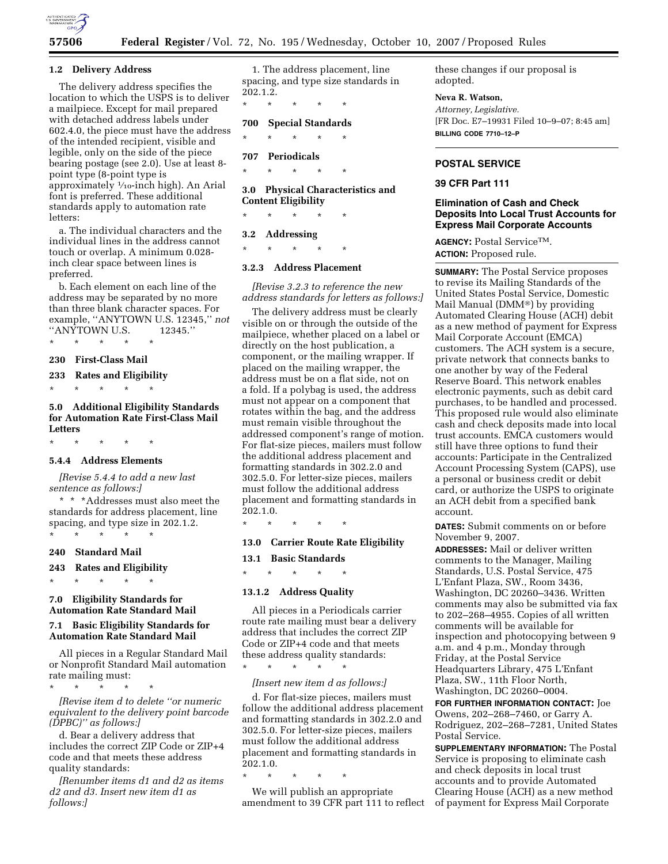

## **1.2 Delivery Address**

The delivery address specifies the location to which the USPS is to deliver a mailpiece. Except for mail prepared with detached address labels under 602.4.0, the piece must have the address of the intended recipient, visible and legible, only on the side of the piece bearing postage (see 2.0). Use at least 8 point type (8-point type is approximately 1⁄10-inch high). An Arial font is preferred. These additional standards apply to automation rate letters:

a. The individual characters and the individual lines in the address cannot touch or overlap. A minimum 0.028 inch clear space between lines is preferred.

b. Each element on each line of the address may be separated by no more than three blank character spaces. For example, ''ANYTOWN U.S. 12345,'' *not*  ''ANYTOWN U.S. 12345.''

\* \* \* \* \*

**230 First-Class Mail** 

**233 Rates and Eligibility** 

\* \* \* \* \* **5.0 Additional Eligibility Standards for Automation Rate First-Class Mail** 

\* \* \* \* \*

**Letters** 

# **5.4.4 Address Elements**

*[Revise 5.4.4 to add a new last sentence as follows:]* 

\* \* \*Addresses must also meet the standards for address placement, line spacing, and type size in 202.1.2. \* \* \* \* \*

### **240 Standard Mail**

**243 Rates and Eligibility** 

\* \* \* \* \*

\* \* \* \* \*

# **7.0 Eligibility Standards for Automation Rate Standard Mail**

# **7.1 Basic Eligibility Standards for Automation Rate Standard Mail**

All pieces in a Regular Standard Mail or Nonprofit Standard Mail automation rate mailing must:

*[Revise item d to delete ''or numeric equivalent to the delivery point barcode (DPBC)'' as follows:]* 

d. Bear a delivery address that includes the correct ZIP Code or ZIP+4 code and that meets these address quality standards:

*[Renumber items d1 and d2 as items d2 and d3. Insert new item d1 as follows:]* 

1. The address placement, line spacing, and type size standards in 202.1.2.

\* \* \* \* \* **700 Special Standards** 

\* \* \* \* \*

**707 Periodicals** 

\* \* \* \* \*

**3.0 Physical Characteristics and Content Eligibility** 

\* \* \* \* \*

#### **3.2 Addressing**

\* \* \* \* \*

## **3.2.3 Address Placement**

*[Revise 3.2.3 to reference the new address standards for letters as follows:]* 

The delivery address must be clearly visible on or through the outside of the mailpiece, whether placed on a label or directly on the host publication, a component, or the mailing wrapper. If placed on the mailing wrapper, the address must be on a flat side, not on a fold. If a polybag is used, the address must not appear on a component that rotates within the bag, and the address must remain visible throughout the addressed component's range of motion. For flat-size pieces, mailers must follow the additional address placement and formatting standards in 302.2.0 and 302.5.0. For letter-size pieces, mailers must follow the additional address placement and formatting standards in 202.1.0.

### \* \* \* \* \*

# **13.0 Carrier Route Rate Eligibility**

**13.1 Basic Standards** 

\* \* \* \* \*

# **13.1.2 Address Quality**

\* \* \* \* \*

All pieces in a Periodicals carrier route rate mailing must bear a delivery address that includes the correct ZIP Code or ZIP+4 code and that meets these address quality standards:

# *[Insert new item d as follows:]*

d. For flat-size pieces, mailers must follow the additional address placement and formatting standards in 302.2.0 and 302.5.0. For letter-size pieces, mailers must follow the additional address placement and formatting standards in 202.1.0.

\* \* \* \* \*

We will publish an appropriate amendment to 39 CFR part 111 to reflect these changes if our proposal is adopted.

## **Neva R. Watson,**

*Attorney, Legislative.*  [FR Doc. E7–19931 Filed 10–9–07; 8:45 am] **BILLING CODE 7710–12–P** 

### **POSTAL SERVICE**

## **39 CFR Part 111**

# **Elimination of Cash and Check Deposits Into Local Trust Accounts for Express Mail Corporate Accounts**

**AGENCY:** Postal ServiceTM. **ACTION:** Proposed rule.

**SUMMARY:** The Postal Service proposes to revise its Mailing Standards of the United States Postal Service, Domestic Mail Manual ( $\text{DMM}^{\circledR}$ ) by providing Automated Clearing House (ACH) debit as a new method of payment for Express Mail Corporate Account (EMCA) customers. The ACH system is a secure, private network that connects banks to one another by way of the Federal Reserve Board. This network enables electronic payments, such as debit card purchases, to be handled and processed. This proposed rule would also eliminate cash and check deposits made into local trust accounts. EMCA customers would still have three options to fund their accounts: Participate in the Centralized Account Processing System (CAPS), use a personal or business credit or debit card, or authorize the USPS to originate an ACH debit from a specified bank account.

**DATES:** Submit comments on or before November 9, 2007.

**ADDRESSES:** Mail or deliver written comments to the Manager, Mailing Standards, U.S. Postal Service, 475 L'Enfant Plaza, SW., Room 3436, Washington, DC 20260–3436. Written comments may also be submitted via fax to 202–268–4955. Copies of all written comments will be available for inspection and photocopying between 9 a.m. and 4 p.m., Monday through Friday, at the Postal Service Headquarters Library, 475 L'Enfant Plaza, SW., 11th Floor North, Washington, DC 20260–0004.

**FOR FURTHER INFORMATION CONTACT:** Joe Owens, 202–268–7460, or Garry A. Rodriguez, 202–268–7281, United States Postal Service.

**SUPPLEMENTARY INFORMATION:** The Postal Service is proposing to eliminate cash and check deposits in local trust accounts and to provide Automated Clearing House (ACH) as a new method of payment for Express Mail Corporate